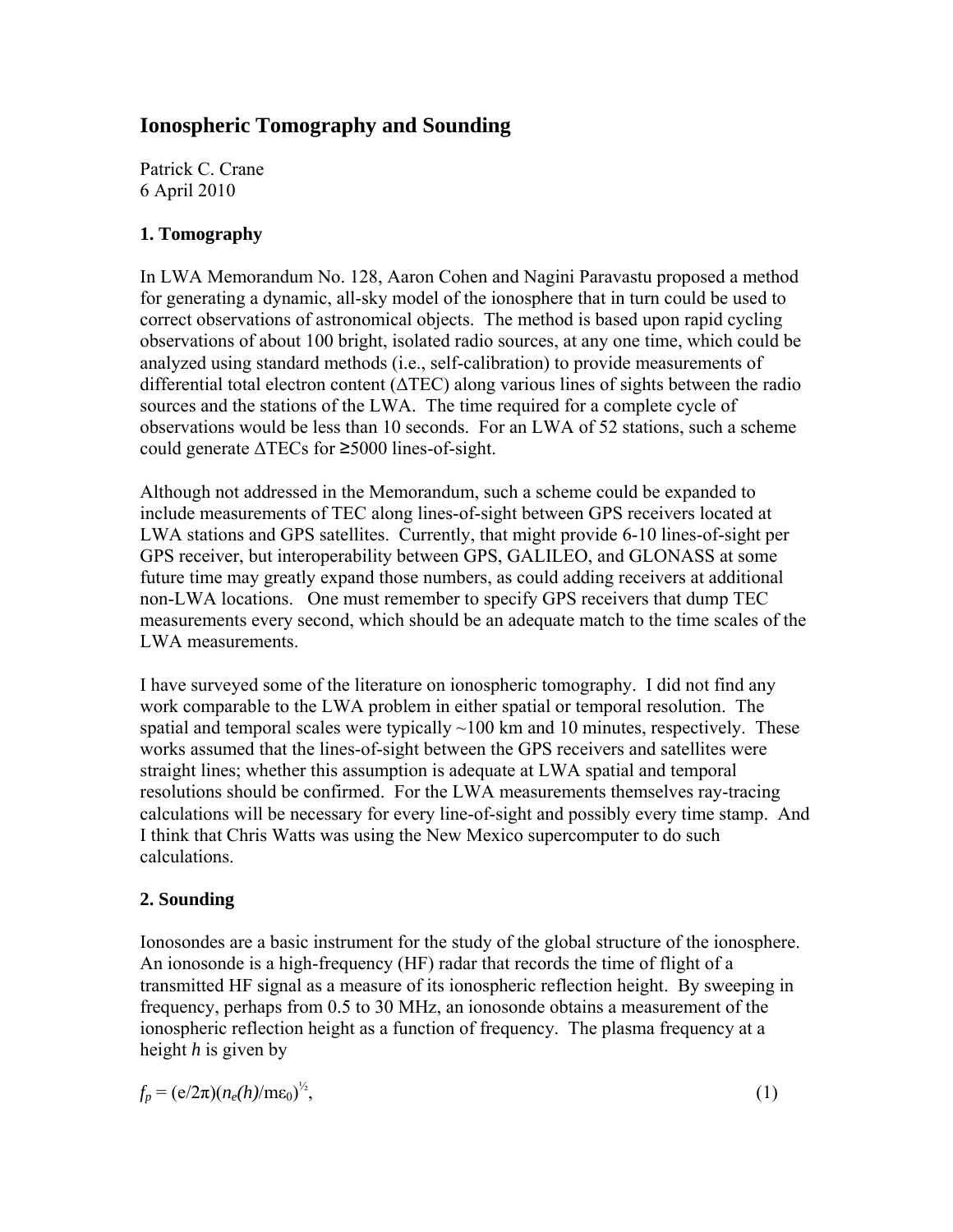# **Ionospheric Tomography and Sounding**

Patrick C. Crane 6 April 2010

## **1. Tomography**

In LWA Memorandum No. 128, Aaron Cohen and Nagini Paravastu proposed a method for generating a dynamic, all-sky model of the ionosphere that in turn could be used to correct observations of astronomical objects. The method is based upon rapid cycling observations of about 100 bright, isolated radio sources, at any one time, which could be analyzed using standard methods (i.e., self-calibration) to provide measurements of differential total electron content (ΔTEC) along various lines of sights between the radio sources and the stations of the LWA. The time required for a complete cycle of observations would be less than 10 seconds. For an LWA of 52 stations, such a scheme could generate ΔTECs for ≥5000 lines-of-sight.

Although not addressed in the Memorandum, such a scheme could be expanded to include measurements of TEC along lines-of-sight between GPS receivers located at LWA stations and GPS satellites. Currently, that might provide 6-10 lines-of-sight per GPS receiver, but interoperability between GPS, GALILEO, and GLONASS at some future time may greatly expand those numbers, as could adding receivers at additional non-LWA locations. One must remember to specify GPS receivers that dump TEC measurements every second, which should be an adequate match to the time scales of the LWA measurements.

I have surveyed some of the literature on ionospheric tomography. I did not find any work comparable to the LWA problem in either spatial or temporal resolution. The spatial and temporal scales were typically  $\sim$ 100 km and 10 minutes, respectively. These works assumed that the lines-of-sight between the GPS receivers and satellites were straight lines; whether this assumption is adequate at LWA spatial and temporal resolutions should be confirmed. For the LWA measurements themselves ray-tracing calculations will be necessary for every line-of-sight and possibly every time stamp. And I think that Chris Watts was using the New Mexico supercomputer to do such calculations.

### **2. Sounding**

Ionosondes are a basic instrument for the study of the global structure of the ionosphere. An ionosonde is a high-frequency (HF) radar that records the time of flight of a transmitted HF signal as a measure of its ionospheric reflection height. By sweeping in frequency, perhaps from 0.5 to 30 MHz, an ionosonde obtains a measurement of the ionospheric reflection height as a function of frequency. The plasma frequency at a height *h* is given by

| $f_p = (e/2\pi)(n_e(h)/m\epsilon_0)^{1/2}$ , |
|----------------------------------------------|
|----------------------------------------------|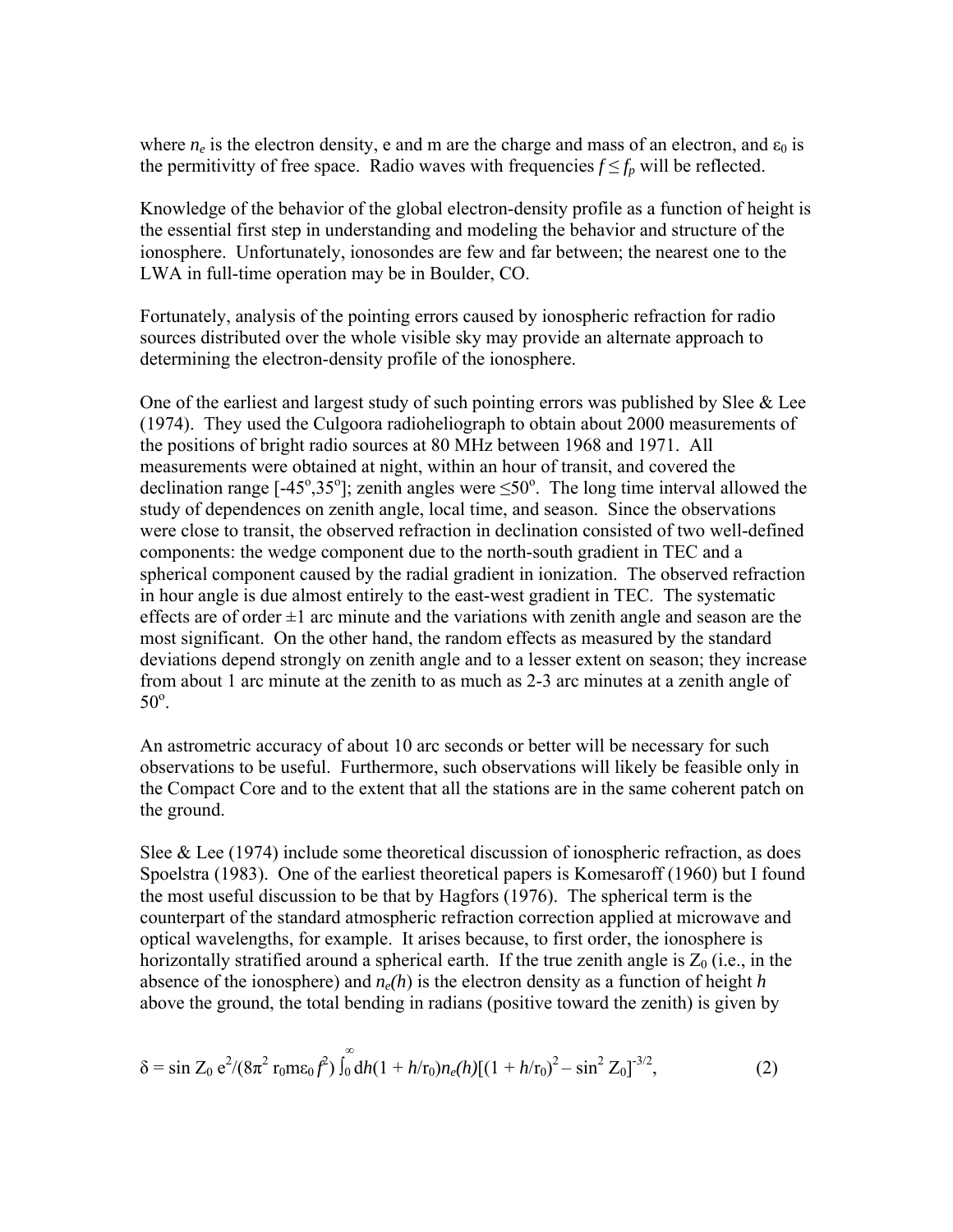where  $n_e$  is the electron density, e and m are the charge and mass of an electron, and  $\varepsilon_0$  is the permitivitty of free space. Radio waves with frequencies  $f \leq f_p$  will be reflected.

Knowledge of the behavior of the global electron-density profile as a function of height is the essential first step in understanding and modeling the behavior and structure of the ionosphere. Unfortunately, ionosondes are few and far between; the nearest one to the LWA in full-time operation may be in Boulder, CO.

Fortunately, analysis of the pointing errors caused by ionospheric refraction for radio sources distributed over the whole visible sky may provide an alternate approach to determining the electron-density profile of the ionosphere.

One of the earliest and largest study of such pointing errors was published by Slee  $\&$  Lee (1974). They used the Culgoora radioheliograph to obtain about 2000 measurements of the positions of bright radio sources at 80 MHz between 1968 and 1971. All measurements were obtained at night, within an hour of transit, and covered the declination range [-45°,35°]; zenith angles were  $\leq 50^\circ$ . The long time interval allowed the study of dependences on zenith angle, local time, and season. Since the observations were close to transit, the observed refraction in declination consisted of two well-defined components: the wedge component due to the north-south gradient in TEC and a spherical component caused by the radial gradient in ionization. The observed refraction in hour angle is due almost entirely to the east-west gradient in TEC. The systematic effects are of order  $\pm 1$  arc minute and the variations with zenith angle and season are the most significant. On the other hand, the random effects as measured by the standard deviations depend strongly on zenith angle and to a lesser extent on season; they increase from about 1 arc minute at the zenith to as much as 2-3 arc minutes at a zenith angle of  $50^\circ$ .

An astrometric accuracy of about 10 arc seconds or better will be necessary for such observations to be useful. Furthermore, such observations will likely be feasible only in the Compact Core and to the extent that all the stations are in the same coherent patch on the ground.

Slee & Lee  $(1974)$  include some theoretical discussion of ionospheric refraction, as does Spoelstra (1983). One of the earliest theoretical papers is Komesaroff (1960) but I found the most useful discussion to be that by Hagfors (1976). The spherical term is the counterpart of the standard atmospheric refraction correction applied at microwave and optical wavelengths, for example. It arises because, to first order, the ionosphere is horizontally stratified around a spherical earth. If the true zenith angle is  $Z_0$  (i.e., in the absence of the ionosphere) and  $n_e(h)$  is the electron density as a function of height *h* above the ground, the total bending in radians (positive toward the zenith) is given by

$$
\delta = \sin Z_0 \, e^{2} / (8\pi^2 \, r_0 m \epsilon_0 f^2) \int_0^\infty dh (1 + h/r_0) n_e(h) [(1 + h/r_0)^2 - \sin^2 Z_0]^{-3/2},\tag{2}
$$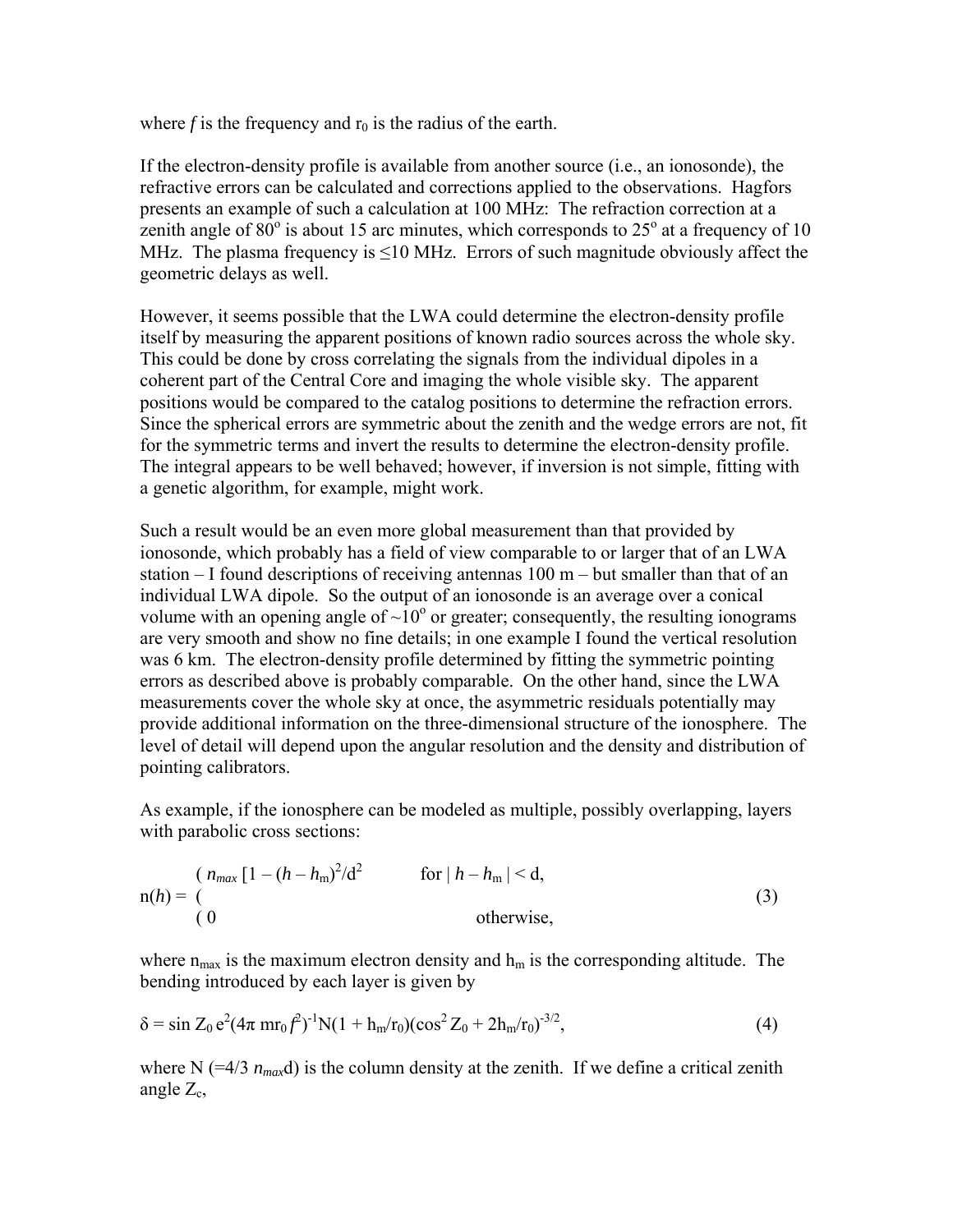where  $f$  is the frequency and  $r_0$  is the radius of the earth.

If the electron-density profile is available from another source (i.e., an ionosonde), the refractive errors can be calculated and corrections applied to the observations. Hagfors presents an example of such a calculation at 100 MHz: The refraction correction at a zenith angle of  $80^{\circ}$  is about 15 arc minutes, which corresponds to  $25^{\circ}$  at a frequency of 10 MHz. The plasma frequency is  $\leq 10$  MHz. Errors of such magnitude obviously affect the geometric delays as well.

However, it seems possible that the LWA could determine the electron-density profile itself by measuring the apparent positions of known radio sources across the whole sky. This could be done by cross correlating the signals from the individual dipoles in a coherent part of the Central Core and imaging the whole visible sky. The apparent positions would be compared to the catalog positions to determine the refraction errors. Since the spherical errors are symmetric about the zenith and the wedge errors are not, fit for the symmetric terms and invert the results to determine the electron-density profile. The integral appears to be well behaved; however, if inversion is not simple, fitting with a genetic algorithm, for example, might work.

Such a result would be an even more global measurement than that provided by ionosonde, which probably has a field of view comparable to or larger that of an LWA station – I found descriptions of receiving antennas 100 m – but smaller than that of an individual LWA dipole. So the output of an ionosonde is an average over a conical volume with an opening angle of  $\sim 10^{\circ}$  or greater; consequently, the resulting ionograms are very smooth and show no fine details; in one example I found the vertical resolution was 6 km. The electron-density profile determined by fitting the symmetric pointing errors as described above is probably comparable. On the other hand, since the LWA measurements cover the whole sky at once, the asymmetric residuals potentially may provide additional information on the three-dimensional structure of the ionosphere. The level of detail will depend upon the angular resolution and the density and distribution of pointing calibrators.

As example, if the ionosphere can be modeled as multiple, possibly overlapping, layers with parabolic cross sections:

$$
n(h) = \begin{cases} (n_{max} \left[1 - (h - h_m)^2 / d^2\right] & \text{for } |h - h_m| < d, \\ 0 & \text{otherwise,} \end{cases} \tag{3}
$$

where  $n_{max}$  is the maximum electron density and  $h_m$  is the corresponding altitude. The bending introduced by each layer is given by

$$
\delta = \sin Z_0 e^2 (4\pi m r_0 f^2)^{-1} N (1 + h_m/r_0) (\cos^2 Z_0 + 2h_m/r_0)^{-3/2}, \tag{4}
$$

where N ( $=4/3$   $n_{max}$ d) is the column density at the zenith. If we define a critical zenith angle  $Z_c$ ,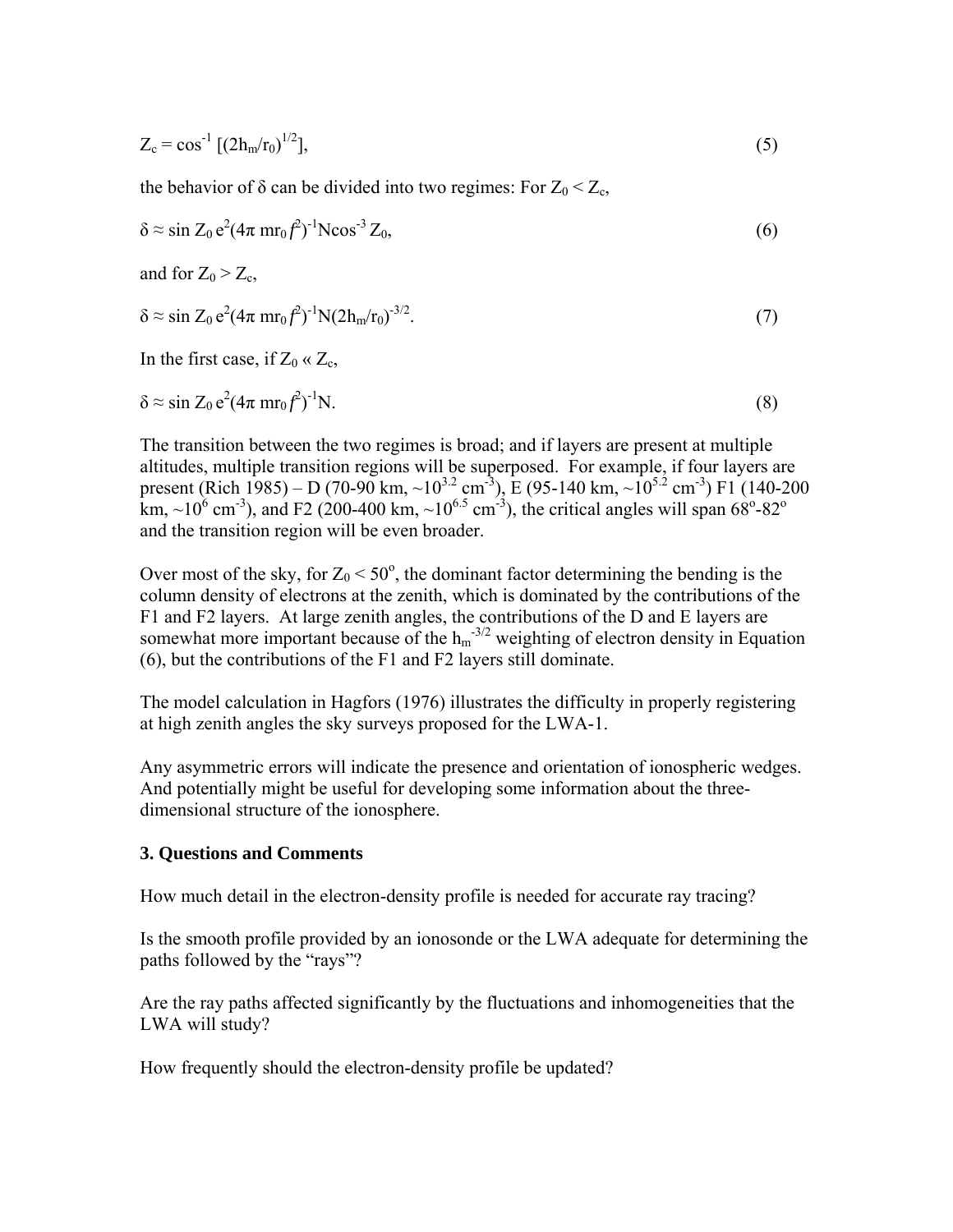$$
Z_c = \cos^{-1} \left[ (2h_m/r_0)^{1/2} \right],\tag{5}
$$

the behavior of  $\delta$  can be divided into two regimes: For  $Z_0 < Z_c$ ,

$$
\delta \approx \sin Z_0 \, \mathrm{e}^2 (4\pi \, \mathrm{m} \mathrm{r}_0 \mathit{f}^2)^{-1} \mathrm{N} \mathrm{cos}^{-3} \, Z_0,\tag{6}
$$

and for  $Z_0 > Z_c$ ,

$$
\delta \approx \sin Z_0 \, e^2 (4\pi \, m r_0 f^2)^{-1} N (2h_m/r_0)^{-3/2}.
$$
\n(7)

In the first case, if  $Z_0 \ll Z_c$ ,

$$
\delta \approx \sin Z_0 \, \mathrm{e}^2 (4\pi \, \mathrm{m} \mathrm{r}_0 \mathit{f}^2)^{-1} \mathrm{N}. \tag{8}
$$

The transition between the two regimes is broad; and if layers are present at multiple altitudes, multiple transition regions will be superposed. For example, if four layers are present (Rich 1985) – D (70-90 km,  $\sim$ 10<sup>3.2</sup> cm<sup>-3</sup>), E (95-140 km,  $\sim$ 10<sup>5.2</sup> cm<sup>-3</sup>) F1 (140-200 km, ~10<sup>6</sup> cm<sup>-3</sup>), and F2 (200-400 km, ~10<sup>6.5</sup> cm<sup>-3</sup>), the critical angles will span 68<sup>o</sup>-82<sup>o</sup> and the transition region will be even broader.

Over most of the sky, for  $Z_0 < 50^\circ$ , the dominant factor determining the bending is the column density of electrons at the zenith, which is dominated by the contributions of the F1 and F2 layers. At large zenith angles, the contributions of the D and E layers are somewhat more important because of the  $h_m$ <sup>-3/2</sup> weighting of electron density in Equation (6), but the contributions of the F1 and F2 layers still dominate.

The model calculation in Hagfors (1976) illustrates the difficulty in properly registering at high zenith angles the sky surveys proposed for the LWA-1.

Any asymmetric errors will indicate the presence and orientation of ionospheric wedges. And potentially might be useful for developing some information about the threedimensional structure of the ionosphere.

#### **3. Questions and Comments**

How much detail in the electron-density profile is needed for accurate ray tracing?

Is the smooth profile provided by an ionosonde or the LWA adequate for determining the paths followed by the "rays"?

Are the ray paths affected significantly by the fluctuations and inhomogeneities that the LWA will study?

How frequently should the electron-density profile be updated?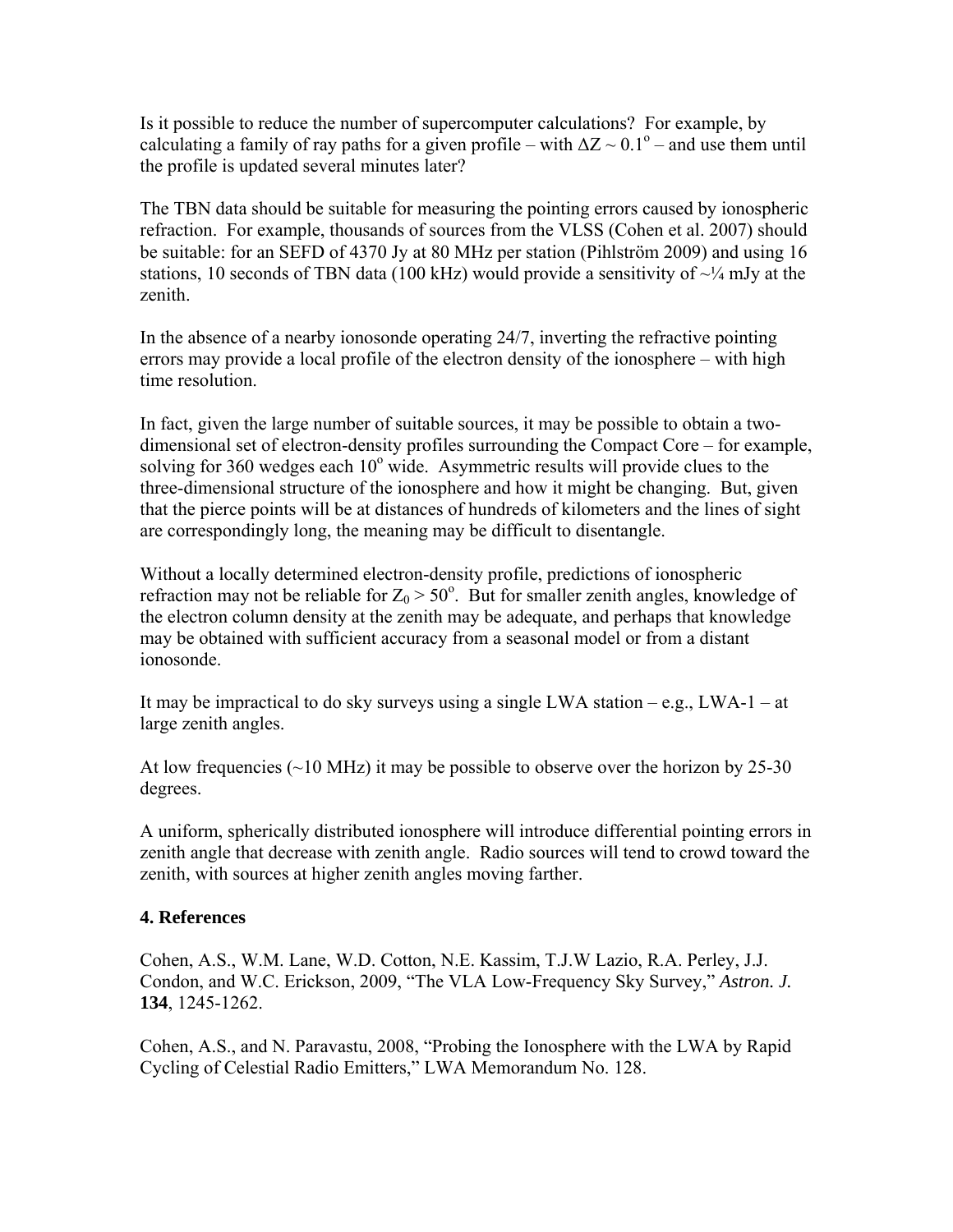Is it possible to reduce the number of supercomputer calculations? For example, by calculating a family of ray paths for a given profile – with  $\Delta Z \sim 0.1^{\circ}$  – and use them until the profile is updated several minutes later?

The TBN data should be suitable for measuring the pointing errors caused by ionospheric refraction. For example, thousands of sources from the VLSS (Cohen et al. 2007) should be suitable: for an SEFD of 4370 Jy at 80 MHz per station (Pihlström 2009) and using 16 stations, 10 seconds of TBN data (100 kHz) would provide a sensitivity of  $\sim$ 1/4 mJy at the zenith.

In the absence of a nearby ionosonde operating 24/7, inverting the refractive pointing errors may provide a local profile of the electron density of the ionosphere – with high time resolution.

In fact, given the large number of suitable sources, it may be possible to obtain a twodimensional set of electron-density profiles surrounding the Compact Core – for example, solving for 360 wedges each  $10^{\circ}$  wide. Asymmetric results will provide clues to the three-dimensional structure of the ionosphere and how it might be changing. But, given that the pierce points will be at distances of hundreds of kilometers and the lines of sight are correspondingly long, the meaning may be difficult to disentangle.

Without a locally determined electron-density profile, predictions of ionospheric refraction may not be reliable for  $Z_0 > 50^\circ$ . But for smaller zenith angles, knowledge of the electron column density at the zenith may be adequate, and perhaps that knowledge may be obtained with sufficient accuracy from a seasonal model or from a distant ionosonde.

It may be impractical to do sky surveys using a single LWA station  $-e.g., LWA-1-at$ large zenith angles.

At low frequencies (~10 MHz) it may be possible to observe over the horizon by 25-30 degrees.

A uniform, spherically distributed ionosphere will introduce differential pointing errors in zenith angle that decrease with zenith angle. Radio sources will tend to crowd toward the zenith, with sources at higher zenith angles moving farther.

### **4. References**

Cohen, A.S., W.M. Lane, W.D. Cotton, N.E. Kassim, T.J.W Lazio, R.A. Perley, J.J. Condon, and W.C. Erickson, 2009, "The VLA Low-Frequency Sky Survey," *Astron. J.* **134**, 1245-1262.

Cohen, A.S., and N. Paravastu, 2008, "[Probing the Ionosphere with the LWA by Rapid](http://www.ece.vt.edu/swe/lwa/memo/lwa0128.pdf)  [Cycling of Celestial Radio Emitters](http://www.ece.vt.edu/swe/lwa/memo/lwa0128.pdf)," LWA Memorandum No. 128.